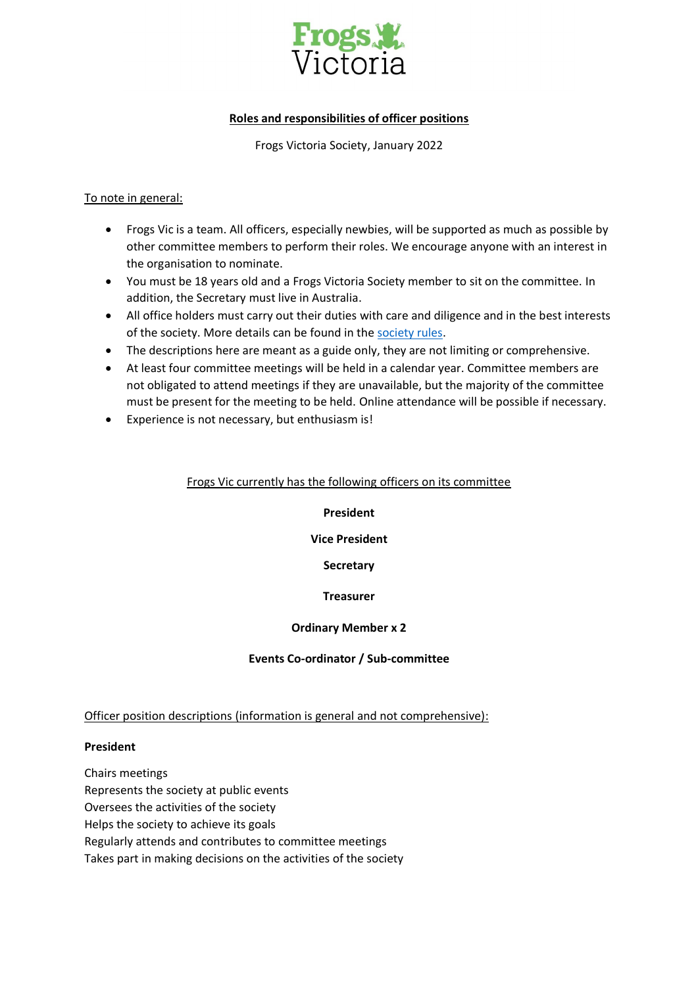

# **Roles and responsibilities of officer positions**

Frogs Victoria Society, January 2022

### To note in general:

- Frogs Vic is a team. All officers, especially newbies, will be supported as much as possible by other committee members to perform their roles. We encourage anyone with an interest in the organisation to nominate.
- You must be 18 years old and a Frogs Victoria Society member to sit on the committee. In addition, the Secretary must live in Australia.
- All office holders must carry out their duties with care and diligence and in the best interests of the society. More details can be found in the [society rules.](https://www.consumer.vic.gov.au/clubs-and-fundraising/incorporated-associations/running-an-incorporated-association/rules)
- The descriptions here are meant as a guide only, they are not limiting or comprehensive.
- At least four committee meetings will be held in a calendar year. Committee members are not obligated to attend meetings if they are unavailable, but the majority of the committee must be present for the meeting to be held. Online attendance will be possible if necessary.
- Experience is not necessary, but enthusiasm is!

## Frogs Vic currently has the following officers on its committee

### **President**

### **Vice President**

## **Secretary**

## **Treasurer**

## **Ordinary Member x 2**

### **Events Co-ordinator / Sub-committee**

## Officer position descriptions (information is general and not comprehensive):

### **President**

Chairs meetings Represents the society at public events Oversees the activities of the society Helps the society to achieve its goals Regularly attends and contributes to committee meetings Takes part in making decisions on the activities of the society